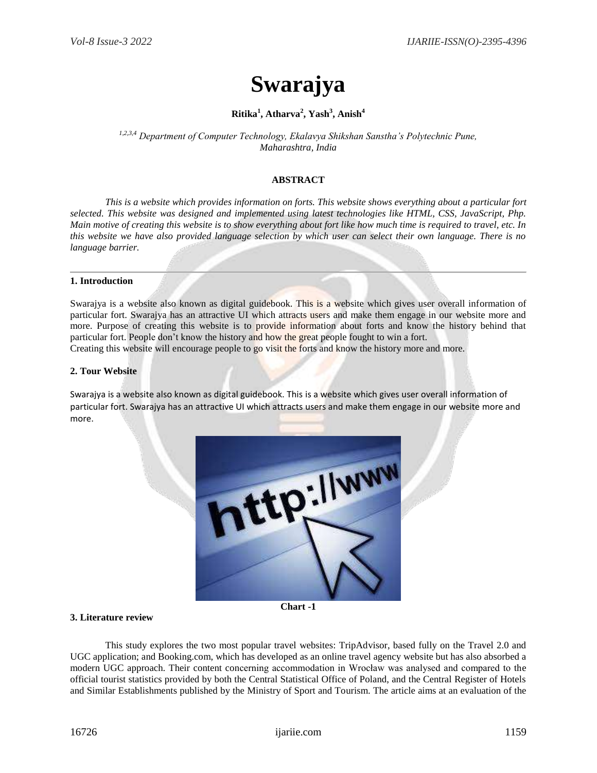# **Swarajya**

# **Ritika<sup>1</sup> , Atharva<sup>2</sup> , Yash<sup>3</sup> , Anish<sup>4</sup>**

*1,2,3,4 Department of Computer Technology, Ekalavya Shikshan Sanstha's Polytechnic Pune, Maharashtra, India*

# **ABSTRACT**

*This is a website which provides information on forts. This website shows everything about a particular fort selected. This website was designed and implemented using latest technologies like HTML, CSS, JavaScript, Php. Main motive of creating this website is to show everything about fort like how much time is required to travel, etc. In this website we have also provided language selection by which user can select their own language. There is no language barrier.* 

#### **1. Introduction**

Swarajya is a website also known as digital guidebook. This is a website which gives user overall information of particular fort. Swarajya has an attractive UI which attracts users and make them engage in our website more and more. Purpose of creating this website is to provide information about forts and know the history behind that particular fort. People don't know the history and how the great people fought to win a fort.

Creating this website will encourage people to go visit the forts and know the history more and more.

#### **2. Tour Website**

Swarajya is a website also known as digital guidebook. This is a website which gives user overall information of particular fort. Swarajya has an attractive UI which attracts users and make them engage in our website more and more.



**Chart -1**

## **3. Literature review**

This study explores the two most popular travel websites: TripAdvisor, based fully on the Travel 2.0 and UGC application; and Booking.com, which has developed as an online travel agency website but has also absorbed a modern UGC approach. Their content concerning accommodation in Wrocław was analysed and compared to the official tourist statistics provided by both the Central Statistical Office of Poland, and the Central Register of Hotels and Similar Establishments published by the Ministry of Sport and Tourism. The article aims at an evaluation of the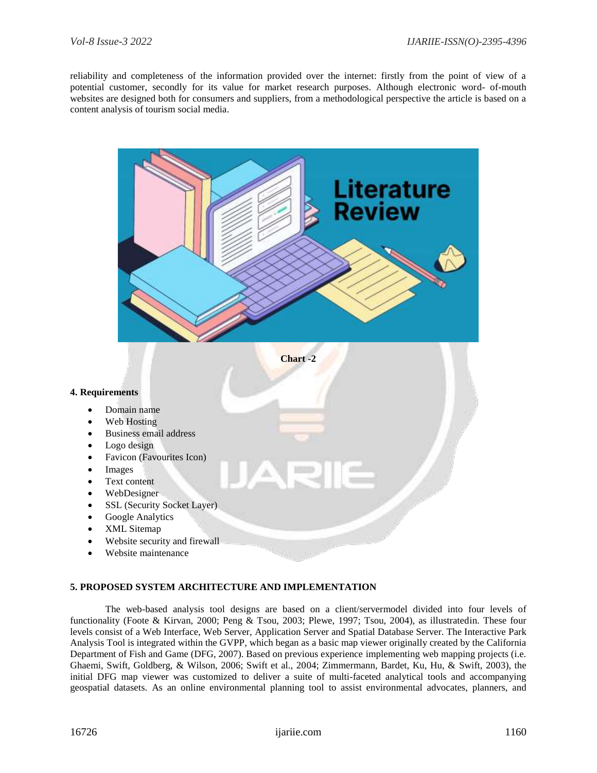reliability and completeness of the information provided over the internet: firstly from the point of view of a potential customer, secondly for its value for market research purposes. Although electronic word- of-mouth websites are designed both for consumers and suppliers, from a methodological perspective the article is based on a content analysis of tourism social media.



## **5. PROPOSED SYSTEM ARCHITECTURE AND IMPLEMENTATION**

The web-based analysis tool designs are based on a client/servermodel divided into four levels of functionality (Foote & Kirvan, 2000; Peng & Tsou, 2003; Plewe, 1997; Tsou, 2004), as illustratedin. These four levels consist of a Web Interface, Web Server, Application Server and Spatial Database Server. The Interactive Park Analysis Tool is integrated within the GVPP, which began as a basic map viewer originally created by the California Department of Fish and Game (DFG, 2007). Based on previous experience implementing web mapping projects (i.e. Ghaemi, Swift, Goldberg, & Wilson, 2006; Swift et al., 2004; Zimmermann, Bardet, Ku, Hu, & Swift, 2003), the initial DFG map viewer was customized to deliver a suite of multi-faceted analytical tools and accompanying geospatial datasets. As an online environmental planning tool to assist environmental advocates, planners, and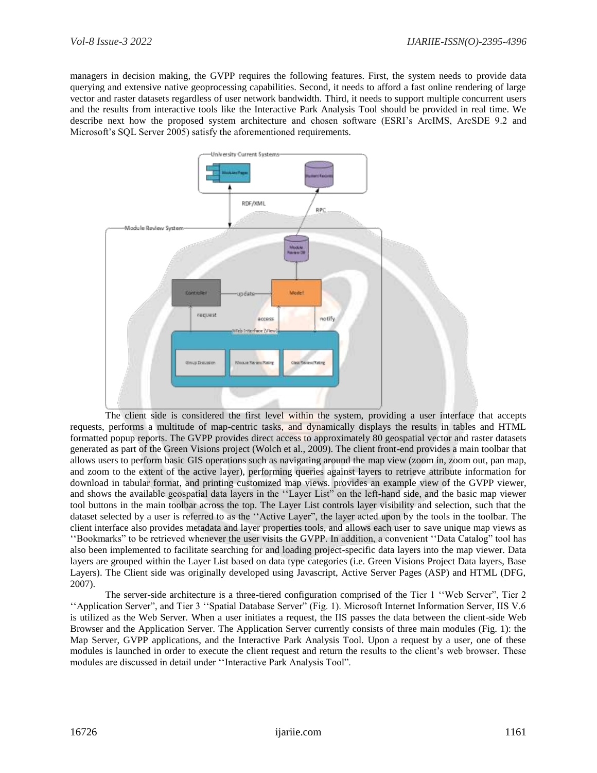managers in decision making, the GVPP requires the following features. First, the system needs to provide data querying and extensive native geoprocessing capabilities. Second, it needs to afford a fast online rendering of large vector and raster datasets regardless of user network bandwidth. Third, it needs to support multiple concurrent users and the results from interactive tools like the Interactive Park Analysis Tool should be provided in real time. We describe next how the proposed system architecture and chosen software (ESRI's ArcIMS, ArcSDE 9.2 and Microsoft's SQL Server 2005) satisfy the aforementioned requirements.



The client side is considered the first level within the system, providing a user interface that accepts requests, performs a multitude of map-centric tasks, and dynamically displays the results in tables and HTML formatted popup reports. The GVPP provides direct access to approximately 80 geospatial vector and raster datasets generated as part of the Green Visions project (Wolch et al., 2009). The client front-end provides a main toolbar that allows users to perform basic GIS operations such as navigating around the map view (zoom in, zoom out, pan map, and zoom to the extent of the active layer), performing queries against layers to retrieve attribute information for download in tabular format, and printing customized map views. provides an example view of the GVPP viewer, and shows the available geospatial data layers in the ''Layer List" on the left-hand side, and the basic map viewer tool buttons in the main toolbar across the top. The Layer List controls layer visibility and selection, such that the dataset selected by a user is referred to as the ''Active Layer", the layer acted upon by the tools in the toolbar. The client interface also provides metadata and layer properties tools, and allows each user to save unique map views as ''Bookmarks" to be retrieved whenever the user visits the GVPP. In addition, a convenient ''Data Catalog" tool has also been implemented to facilitate searching for and loading project-specific data layers into the map viewer. Data layers are grouped within the Layer List based on data type categories (i.e. Green Visions Project Data layers, Base Layers). The Client side was originally developed using Javascript, Active Server Pages (ASP) and HTML (DFG, 2007).

The server-side architecture is a three-tiered configuration comprised of the Tier 1 ''Web Server", Tier 2 ''Application Server", and Tier 3 ''Spatial Database Server" (Fig. 1). Microsoft Internet Information Server, IIS V.6 is utilized as the Web Server. When a user initiates a request, the IIS passes the data between the client-side Web Browser and the Application Server. The Application Server currently consists of three main modules (Fig. 1): the Map Server, GVPP applications, and the Interactive Park Analysis Tool. Upon a request by a user, one of these modules is launched in order to execute the client request and return the results to the client's web browser. These modules are discussed in detail under ''Interactive Park Analysis Tool".